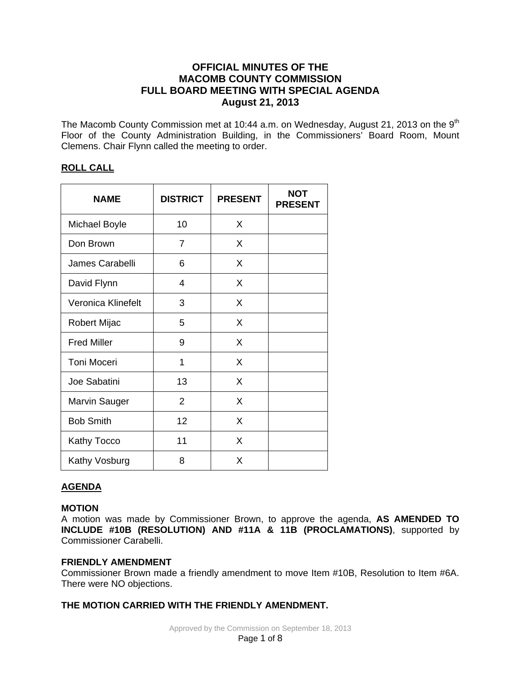# **OFFICIAL MINUTES OF THE MACOMB COUNTY COMMISSION FULL BOARD MEETING WITH SPECIAL AGENDA August 21, 2013**

The Macomb County Commission met at 10:44 a.m. on Wednesday, August 21, 2013 on the 9<sup>th</sup> Floor of the County Administration Building, in the Commissioners' Board Room, Mount Clemens. Chair Flynn called the meeting to order.

# **ROLL CALL**

| <b>NAME</b>          | <b>DISTRICT</b> | <b>PRESENT</b> | <b>NOT</b><br><b>PRESENT</b> |
|----------------------|-----------------|----------------|------------------------------|
| <b>Michael Boyle</b> | 10              | X              |                              |
| Don Brown            | 7               | X              |                              |
| James Carabelli      | 6               | X              |                              |
| David Flynn          | 4               | X              |                              |
| Veronica Klinefelt   | 3               | X              |                              |
| Robert Mijac         | 5               | X              |                              |
| <b>Fred Miller</b>   | 9               | X              |                              |
| <b>Toni Moceri</b>   | 1               | X              |                              |
| Joe Sabatini         | 13              | X              |                              |
| Marvin Sauger        | $\overline{2}$  | X              |                              |
| <b>Bob Smith</b>     | 12              | X              |                              |
| Kathy Tocco          | 11              | X              |                              |
| Kathy Vosburg        | 8               | X              |                              |

# **AGENDA**

# **MOTION**

A motion was made by Commissioner Brown, to approve the agenda, **AS AMENDED TO INCLUDE #10B (RESOLUTION) AND #11A & 11B (PROCLAMATIONS)**, supported by Commissioner Carabelli.

## **FRIENDLY AMENDMENT**

Commissioner Brown made a friendly amendment to move Item #10B, Resolution to Item #6A. There were NO objections.

# **THE MOTION CARRIED WITH THE FRIENDLY AMENDMENT.**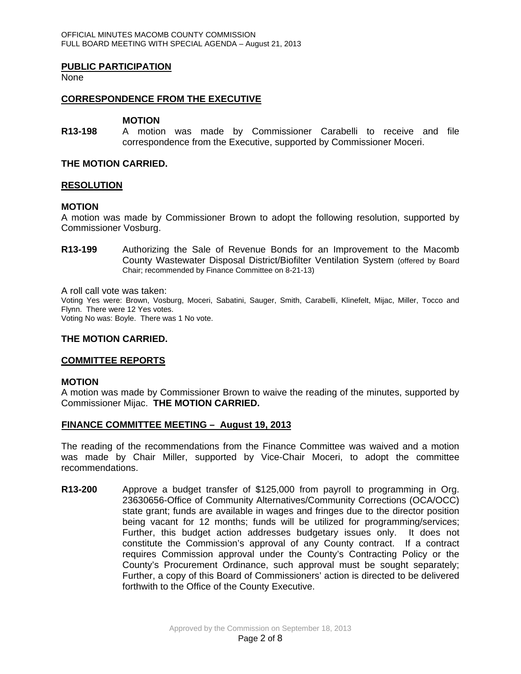## **PUBLIC PARTICIPATION**

None

## **CORRESPONDENCE FROM THE EXECUTIVE**

#### **MOTION**

**R13-198** A motion was made by Commissioner Carabelli to receive and file correspondence from the Executive, supported by Commissioner Moceri.

## **THE MOTION CARRIED.**

## **RESOLUTION**

## **MOTION**

A motion was made by Commissioner Brown to adopt the following resolution, supported by Commissioner Vosburg.

**R13-199** Authorizing the Sale of Revenue Bonds for an Improvement to the Macomb County Wastewater Disposal District/Biofilter Ventilation System (offered by Board Chair; recommended by Finance Committee on 8-21-13)

A roll call vote was taken:

Voting Yes were: Brown, Vosburg, Moceri, Sabatini, Sauger, Smith, Carabelli, Klinefelt, Mijac, Miller, Tocco and Flynn. There were 12 Yes votes. Voting No was: Boyle. There was 1 No vote.

#### **THE MOTION CARRIED.**

## **COMMITTEE REPORTS**

#### **MOTION**

A motion was made by Commissioner Brown to waive the reading of the minutes, supported by Commissioner Mijac. **THE MOTION CARRIED.** 

## **FINANCE COMMITTEE MEETING – August 19, 2013**

The reading of the recommendations from the Finance Committee was waived and a motion was made by Chair Miller, supported by Vice-Chair Moceri, to adopt the committee recommendations.

**R13-200** Approve a budget transfer of \$125,000 from payroll to programming in Org. 23630656-Office of Community Alternatives/Community Corrections (OCA/OCC) state grant; funds are available in wages and fringes due to the director position being vacant for 12 months; funds will be utilized for programming/services; Further, this budget action addresses budgetary issues only. It does not constitute the Commission's approval of any County contract. If a contract requires Commission approval under the County's Contracting Policy or the County's Procurement Ordinance, such approval must be sought separately; Further, a copy of this Board of Commissioners' action is directed to be delivered forthwith to the Office of the County Executive.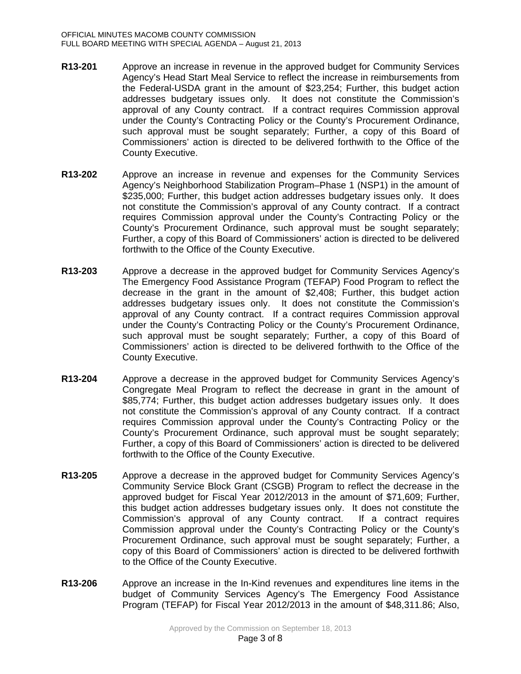- **R13-201** Approve an increase in revenue in the approved budget for Community Services Agency's Head Start Meal Service to reflect the increase in reimbursements from the Federal-USDA grant in the amount of \$23,254; Further, this budget action addresses budgetary issues only. It does not constitute the Commission's approval of any County contract. If a contract requires Commission approval under the County's Contracting Policy or the County's Procurement Ordinance, such approval must be sought separately; Further, a copy of this Board of Commissioners' action is directed to be delivered forthwith to the Office of the County Executive.
- **R13-202** Approve an increase in revenue and expenses for the Community Services Agency's Neighborhood Stabilization Program–Phase 1 (NSP1) in the amount of \$235,000; Further, this budget action addresses budgetary issues only. It does not constitute the Commission's approval of any County contract. If a contract requires Commission approval under the County's Contracting Policy or the County's Procurement Ordinance, such approval must be sought separately; Further, a copy of this Board of Commissioners' action is directed to be delivered forthwith to the Office of the County Executive.
- **R13-203** Approve a decrease in the approved budget for Community Services Agency's The Emergency Food Assistance Program (TEFAP) Food Program to reflect the decrease in the grant in the amount of \$2,408; Further, this budget action addresses budgetary issues only. It does not constitute the Commission's approval of any County contract. If a contract requires Commission approval under the County's Contracting Policy or the County's Procurement Ordinance, such approval must be sought separately; Further, a copy of this Board of Commissioners' action is directed to be delivered forthwith to the Office of the County Executive.
- **R13-204** Approve a decrease in the approved budget for Community Services Agency's Congregate Meal Program to reflect the decrease in grant in the amount of \$85,774; Further, this budget action addresses budgetary issues only. It does not constitute the Commission's approval of any County contract. If a contract requires Commission approval under the County's Contracting Policy or the County's Procurement Ordinance, such approval must be sought separately; Further, a copy of this Board of Commissioners' action is directed to be delivered forthwith to the Office of the County Executive.
- **R13-205** Approve a decrease in the approved budget for Community Services Agency's Community Service Block Grant (CSGB) Program to reflect the decrease in the approved budget for Fiscal Year 2012/2013 in the amount of \$71,609; Further, this budget action addresses budgetary issues only. It does not constitute the Commission's approval of any County contract. If a contract requires Commission approval under the County's Contracting Policy or the County's Procurement Ordinance, such approval must be sought separately; Further, a copy of this Board of Commissioners' action is directed to be delivered forthwith to the Office of the County Executive.
- **R13-206** Approve an increase in the In-Kind revenues and expenditures line items in the budget of Community Services Agency's The Emergency Food Assistance Program (TEFAP) for Fiscal Year 2012/2013 in the amount of \$48,311.86; Also,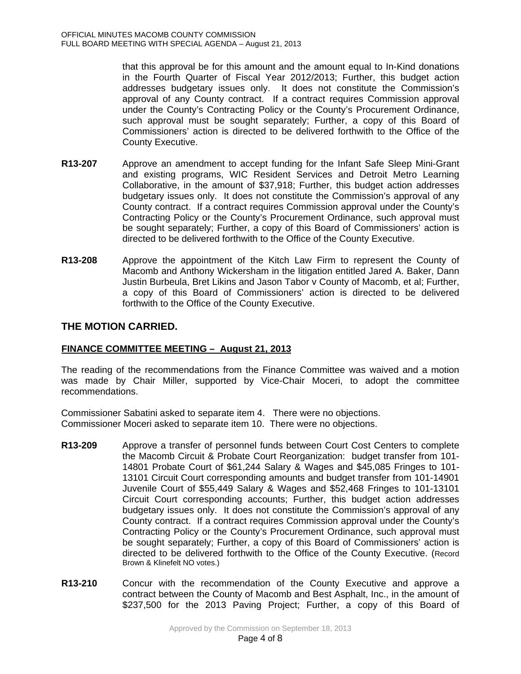that this approval be for this amount and the amount equal to In-Kind donations in the Fourth Quarter of Fiscal Year 2012/2013; Further, this budget action addresses budgetary issues only. It does not constitute the Commission's approval of any County contract. If a contract requires Commission approval under the County's Contracting Policy or the County's Procurement Ordinance, such approval must be sought separately; Further, a copy of this Board of Commissioners' action is directed to be delivered forthwith to the Office of the County Executive.

- **R13-207** Approve an amendment to accept funding for the Infant Safe Sleep Mini-Grant and existing programs, WIC Resident Services and Detroit Metro Learning Collaborative, in the amount of \$37,918; Further, this budget action addresses budgetary issues only. It does not constitute the Commission's approval of any County contract. If a contract requires Commission approval under the County's Contracting Policy or the County's Procurement Ordinance, such approval must be sought separately; Further, a copy of this Board of Commissioners' action is directed to be delivered forthwith to the Office of the County Executive.
- **R13-208** Approve the appointment of the Kitch Law Firm to represent the County of Macomb and Anthony Wickersham in the litigation entitled Jared A. Baker, Dann Justin Burbeula, Bret Likins and Jason Tabor v County of Macomb, et al; Further, a copy of this Board of Commissioners' action is directed to be delivered forthwith to the Office of the County Executive.

# **THE MOTION CARRIED.**

# **FINANCE COMMITTEE MEETING – August 21, 2013**

The reading of the recommendations from the Finance Committee was waived and a motion was made by Chair Miller, supported by Vice-Chair Moceri, to adopt the committee recommendations.

Commissioner Sabatini asked to separate item 4. There were no objections. Commissioner Moceri asked to separate item 10. There were no objections.

- **R13-209** Approve a transfer of personnel funds between Court Cost Centers to complete the Macomb Circuit & Probate Court Reorganization: budget transfer from 101- 14801 Probate Court of \$61,244 Salary & Wages and \$45,085 Fringes to 101- 13101 Circuit Court corresponding amounts and budget transfer from 101-14901 Juvenile Court of \$55,449 Salary & Wages and \$52,468 Fringes to 101-13101 Circuit Court corresponding accounts; Further, this budget action addresses budgetary issues only. It does not constitute the Commission's approval of any County contract. If a contract requires Commission approval under the County's Contracting Policy or the County's Procurement Ordinance, such approval must be sought separately; Further, a copy of this Board of Commissioners' action is directed to be delivered forthwith to the Office of the County Executive. (Record Brown & Klinefelt NO votes.)
- **R13-210** Concur with the recommendation of the County Executive and approve a contract between the County of Macomb and Best Asphalt, Inc., in the amount of \$237,500 for the 2013 Paving Project; Further, a copy of this Board of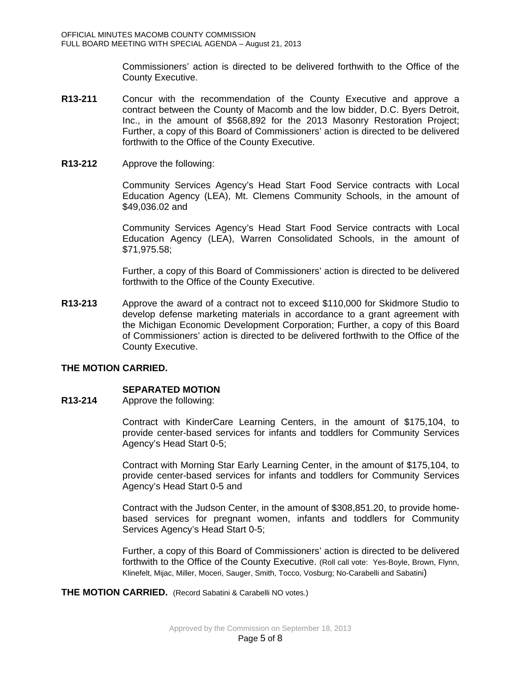Commissioners' action is directed to be delivered forthwith to the Office of the County Executive.

- **R13-211** Concur with the recommendation of the County Executive and approve a contract between the County of Macomb and the low bidder, D.C. Byers Detroit, Inc., in the amount of \$568,892 for the 2013 Masonry Restoration Project; Further, a copy of this Board of Commissioners' action is directed to be delivered forthwith to the Office of the County Executive.
- **R13-212** Approve the following:

Community Services Agency's Head Start Food Service contracts with Local Education Agency (LEA), Mt. Clemens Community Schools, in the amount of \$49,036.02 and

Community Services Agency's Head Start Food Service contracts with Local Education Agency (LEA), Warren Consolidated Schools, in the amount of \$71,975.58;

Further, a copy of this Board of Commissioners' action is directed to be delivered forthwith to the Office of the County Executive.

**R13-213** Approve the award of a contract not to exceed \$110,000 for Skidmore Studio to develop defense marketing materials in accordance to a grant agreement with the Michigan Economic Development Corporation; Further, a copy of this Board of Commissioners' action is directed to be delivered forthwith to the Office of the County Executive.

## **THE MOTION CARRIED.**

# **SEPARATED MOTION**

**R13-214** Approve the following:

Contract with KinderCare Learning Centers, in the amount of \$175,104, to provide center-based services for infants and toddlers for Community Services Agency's Head Start 0-5;

Contract with Morning Star Early Learning Center, in the amount of \$175,104, to provide center-based services for infants and toddlers for Community Services Agency's Head Start 0-5 and

Contract with the Judson Center, in the amount of \$308,851.20, to provide homebased services for pregnant women, infants and toddlers for Community Services Agency's Head Start 0-5;

Further, a copy of this Board of Commissioners' action is directed to be delivered forthwith to the Office of the County Executive. (Roll call vote: Yes-Boyle, Brown, Flynn, Klinefelt, Mijac, Miller, Moceri, Sauger, Smith, Tocco, Vosburg; No-Carabelli and Sabatini)

**THE MOTION CARRIED.** (Record Sabatini & Carabelli NO votes.)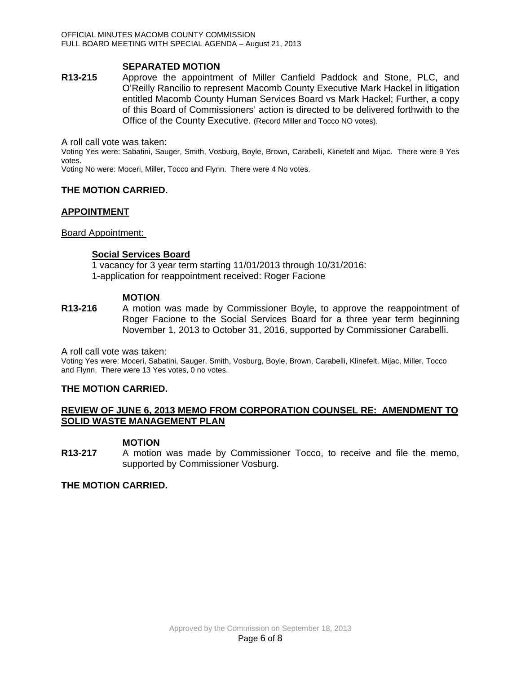## **SEPARATED MOTION**

**R13-215** Approve the appointment of Miller Canfield Paddock and Stone, PLC, and O'Reilly Rancilio to represent Macomb County Executive Mark Hackel in litigation entitled Macomb County Human Services Board vs Mark Hackel; Further, a copy of this Board of Commissioners' action is directed to be delivered forthwith to the Office of the County Executive. (Record Miller and Tocco NO votes).

A roll call vote was taken:

Voting Yes were: Sabatini, Sauger, Smith, Vosburg, Boyle, Brown, Carabelli, Klinefelt and Mijac. There were 9 Yes votes.

Voting No were: Moceri, Miller, Tocco and Flynn. There were 4 No votes.

## **THE MOTION CARRIED.**

#### **APPOINTMENT**

#### Board Appointment:

#### **Social Services Board**

1 vacancy for 3 year term starting 11/01/2013 through 10/31/2016: 1-application for reappointment received: Roger Facione

#### **MOTION**

**R13-216** A motion was made by Commissioner Boyle, to approve the reappointment of Roger Facione to the Social Services Board for a three year term beginning November 1, 2013 to October 31, 2016, supported by Commissioner Carabelli.

A roll call vote was taken:

Voting Yes were: Moceri, Sabatini, Sauger, Smith, Vosburg, Boyle, Brown, Carabelli, Klinefelt, Mijac, Miller, Tocco and Flynn. There were 13 Yes votes, 0 no votes.

## **THE MOTION CARRIED.**

## **REVIEW OF JUNE 6, 2013 MEMO FROM CORPORATION COUNSEL RE: AMENDMENT TO SOLID WASTE MANAGEMENT PLAN**

## **MOTION**

**R13-217** A motion was made by Commissioner Tocco, to receive and file the memo, supported by Commissioner Vosburg.

#### **THE MOTION CARRIED.**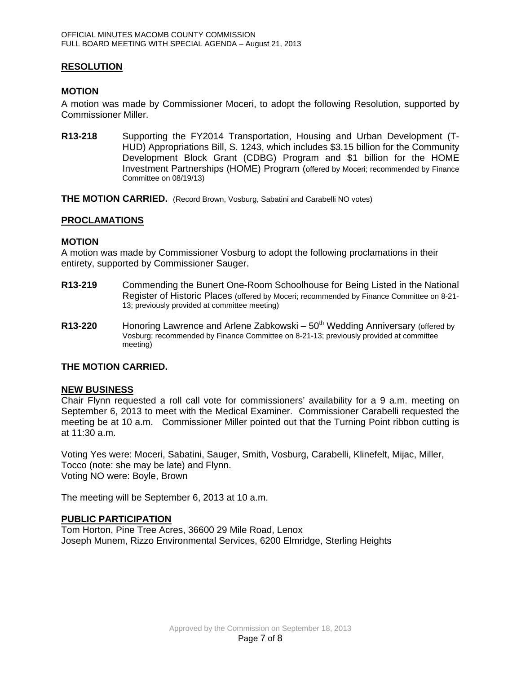## **RESOLUTION**

## **MOTION**

A motion was made by Commissioner Moceri, to adopt the following Resolution, supported by Commissioner Miller.

**R13-218** Supporting the FY2014 Transportation, Housing and Urban Development (T-HUD) Appropriations Bill, S. 1243, which includes \$3.15 billion for the Community Development Block Grant (CDBG) Program and \$1 billion for the HOME Investment Partnerships (HOME) Program (offered by Moceri; recommended by Finance Committee on 08/19/13)

**THE MOTION CARRIED.** (Record Brown, Vosburg, Sabatini and Carabelli NO votes)

## **PROCLAMATIONS**

#### **MOTION**

A motion was made by Commissioner Vosburg to adopt the following proclamations in their entirety, supported by Commissioner Sauger.

- **R13-219** Commending the Bunert One-Room Schoolhouse for Being Listed in the National Register of Historic Places (offered by Moceri; recommended by Finance Committee on 8-21- 13; previously provided at committee meeting)
- **R13-220** Honoring Lawrence and Arlene Zabkowski 50<sup>th</sup> Wedding Anniversary (offered by Vosburg; recommended by Finance Committee on 8-21-13; previously provided at committee meeting)

## **THE MOTION CARRIED.**

#### **NEW BUSINESS**

Chair Flynn requested a roll call vote for commissioners' availability for a 9 a.m. meeting on September 6, 2013 to meet with the Medical Examiner. Commissioner Carabelli requested the meeting be at 10 a.m. Commissioner Miller pointed out that the Turning Point ribbon cutting is at 11:30 a.m.

Voting Yes were: Moceri, Sabatini, Sauger, Smith, Vosburg, Carabelli, Klinefelt, Mijac, Miller, Tocco (note: she may be late) and Flynn. Voting NO were: Boyle, Brown

The meeting will be September 6, 2013 at 10 a.m.

#### **PUBLIC PARTICIPATION**

Tom Horton, Pine Tree Acres, 36600 29 Mile Road, Lenox Joseph Munem, Rizzo Environmental Services, 6200 Elmridge, Sterling Heights